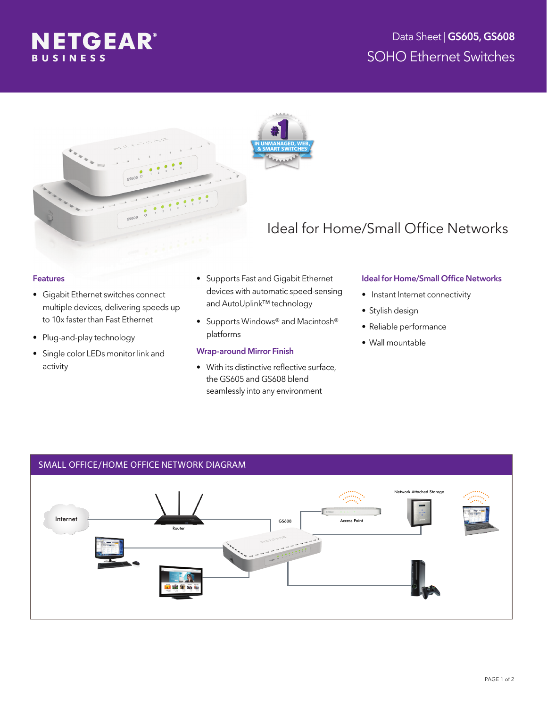





# Ideal for Home/Small Office Networks

#### Features

- Gigabit Ethernet switches connect multiple devices, delivering speeds up to 10x faster than Fast Ethernet
- Plug-and-play technology
- Single color LEDs monitor link and activity
- Supports Fast and Gigabit Ethernet devices with automatic speed-sensing and AutoUplink™ technology
- Supports Windows® and Macintosh® platforms

### Wrap-around Mirror Finish

• With its distinctive reflective surface, the GS605 and GS608 blend seamlessly into any environment

### Ideal for Home/Small Office Networks

- Instant Internet connectivity
- Stylish design
- Reliable performance
- Wall mountable